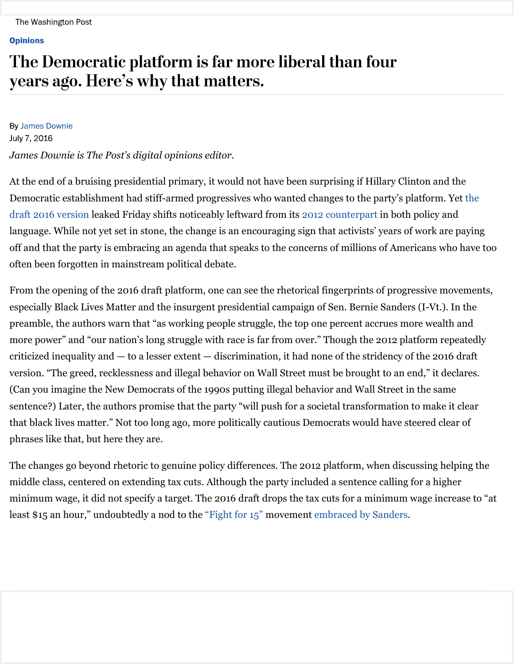## **Opinions**

## The Democratic platform is far more liberal than four years ago. Here's why that matters.

**By James Downie** July 7, 2016 *James Downie is The Post's digital opinions editor.*

At the end of a bruising presidential primary, it would not have been surprising if Hillary Clinton and the Democratic establishment had stiff-armed progressives who wanted changes to the party's platform. Yet the draft 2016 version leaked Friday shifts noticeably leftward from its 2012 counterpart in both policy and language. While not yet set in stone, the change is an encouraging sign that activists' years of work are paying off and that the party is embracing an agenda that speaks to the concerns of millions of Americans who have too often been forgotten in mainstream political debate.

From the opening of the 2016 draft platform, one can see the rhetorical fingerprints of progressive movements, especially Black Lives Matter and the insurgent presidential campaign of Sen. Bernie Sanders (I-Vt.). In the preamble, the authors warn that "as working people struggle, the top one percent accrues more wealth and more power" and "our nation's long struggle with race is far from over." Though the 2012 platform repeatedly criticized inequality and — to a lesser extent — discrimination, it had none of the stridency of the 2016 draft version. "The greed, recklessness and illegal behavior on Wall Street must be brought to an end," it declares. (Can you imagine the New Democrats of the 1990s putting illegal behavior and Wall Street in the same sentence?) Later, the authors promise that the party "will push for a societal transformation to make it clear that black lives matter." Not too long ago, more politically cautious Democrats would have steered clear of phrases like that, but here they are.

The changes go beyond rhetoric to genuine policy differences. The 2012 platform, when discussing helping the middle class, centered on extending tax cuts. Although the party included a sentence calling for a higher minimum wage, it did not specify a target. The 2016 draft drops the tax cuts for a minimum wage increase to "at least \$15 an hour," undoubtedly a nod to the "Fight for 15" movement embraced by Sanders.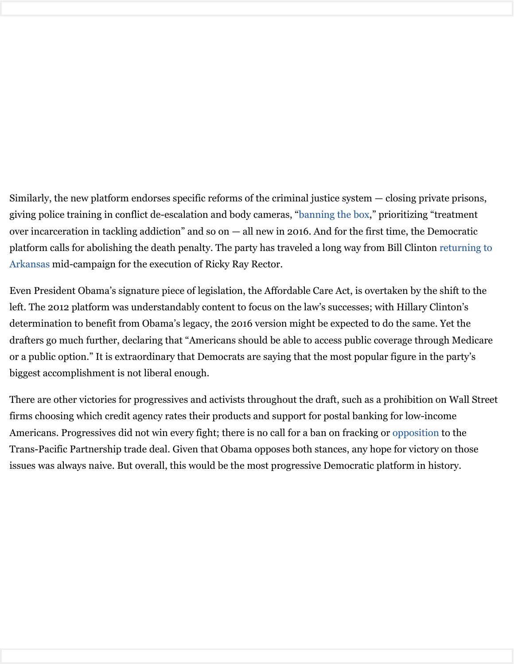Similarly, the new platform endorses specific reforms of the criminal justice system — closing private prisons, giving police training in conflict de-escalation and body cameras, "banning the box," prioritizing "treatment over incarceration in tackling addiction" and so on — all new in 2016. And for the first time, the Democratic platform calls for abolishing the death penalty. The party has traveled a long way from Bill Clinton returning to Arkansas mid-campaign for the execution of Ricky Ray Rector.

Even President Obama's signature piece of legislation, the Affordable Care Act, is overtaken by the shift to the left. The 2012 platform was understandably content to focus on the law's successes; with Hillary Clinton's determination to benefit from Obama's legacy, the 2016 version might be expected to do the same. Yet the drafters go much further, declaring that "Americans should be able to access public coverage through Medicare or a public option." It is extraordinary that Democrats are saying that the most popular figure in the party's biggest accomplishment is not liberal enough.

There are other victories for progressives and activists throughout the draft, such as a prohibition on Wall Street firms choosing which credit agency rates their products and support for postal banking for low-income Americans. Progressives did not win every fight; there is no call for a ban on fracking or opposition to the Trans-Pacific Partnership trade deal. Given that Obama opposes both stances, any hope for victory on those issues was always naive. But overall, this would be the most progressive Democratic platform in history.